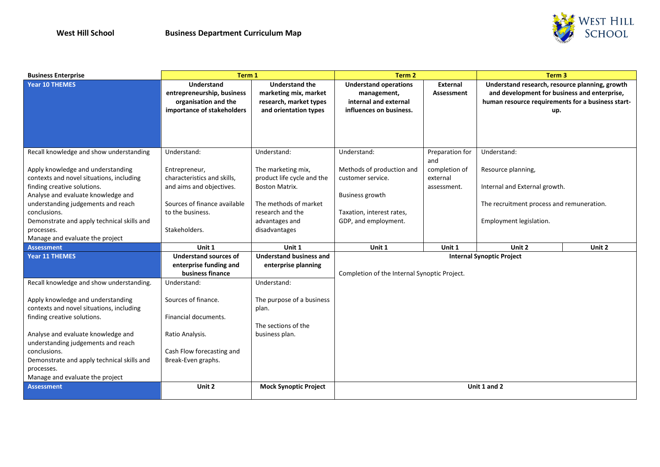

| <b>Business Enterprise</b>                                                                                                                                                                                                                                           | Term 1                                                                                                            |                                                                                                   | Term 2                                                                                          |                                                     | Term <sub>3</sub>                                                                                                                                          |        |  |
|----------------------------------------------------------------------------------------------------------------------------------------------------------------------------------------------------------------------------------------------------------------------|-------------------------------------------------------------------------------------------------------------------|---------------------------------------------------------------------------------------------------|-------------------------------------------------------------------------------------------------|-----------------------------------------------------|------------------------------------------------------------------------------------------------------------------------------------------------------------|--------|--|
| Year 10 THEMES                                                                                                                                                                                                                                                       | <b>Understand</b><br>entrepreneurship, business<br>organisation and the<br>importance of stakeholders             | <b>Understand the</b><br>marketing mix, market<br>research, market types<br>and orientation types | <b>Understand operations</b><br>management,<br>internal and external<br>influences on business. | External<br>Assessment                              | Understand research, resource planning, growth<br>and development for business and enterprise,<br>human resource requirements for a business start-<br>up. |        |  |
| Recall knowledge and show understanding<br>Apply knowledge and understanding<br>contexts and novel situations, including                                                                                                                                             | Understand:<br>Entrepreneur,<br>characteristics and skills,                                                       | Understand:<br>The marketing mix,<br>product life cycle and the                                   | Understand:<br>Methods of production and<br>customer service.                                   | Preparation for<br>and<br>completion of<br>external | Understand:<br>Resource planning,<br>Internal and External growth.<br>The recruitment process and remuneration.<br>Employment legislation.                 |        |  |
| finding creative solutions.<br>Analyse and evaluate knowledge and<br>understanding judgements and reach<br>conclusions.<br>Demonstrate and apply technical skills and                                                                                                | and aims and objectives.<br>Sources of finance available<br>to the business.                                      | <b>Boston Matrix.</b><br>The methods of market<br>research and the<br>advantages and              | <b>Business growth</b><br>Taxation, interest rates,<br>GDP, and employment.                     | assessment.                                         |                                                                                                                                                            |        |  |
| processes.<br>Manage and evaluate the project                                                                                                                                                                                                                        | Stakeholders.                                                                                                     | disadvantages                                                                                     |                                                                                                 |                                                     |                                                                                                                                                            |        |  |
| Assessment                                                                                                                                                                                                                                                           | Unit 1                                                                                                            | Unit 1                                                                                            | Unit 1                                                                                          | Unit 1                                              | Unit 2                                                                                                                                                     | Unit 2 |  |
| Year 11 THEMES                                                                                                                                                                                                                                                       | <b>Understand sources of</b><br>enterprise funding and<br>business finance                                        | <b>Understand business and</b><br>enterprise planning                                             | <b>Internal Synoptic Project</b><br>Completion of the Internal Synoptic Project.                |                                                     |                                                                                                                                                            |        |  |
| Recall knowledge and show understanding.                                                                                                                                                                                                                             | Understand:                                                                                                       | Understand:                                                                                       |                                                                                                 |                                                     |                                                                                                                                                            |        |  |
| Apply knowledge and understanding<br>contexts and novel situations, including<br>finding creative solutions.<br>Analyse and evaluate knowledge and<br>understanding judgements and reach<br>conclusions.<br>Demonstrate and apply technical skills and<br>processes. | Sources of finance.<br>Financial documents.<br>Ratio Analysis.<br>Cash Flow forecasting and<br>Break-Even graphs. | The purpose of a business<br>plan.<br>The sections of the<br>business plan.                       |                                                                                                 |                                                     |                                                                                                                                                            |        |  |
| Manage and evaluate the project<br>Assessment                                                                                                                                                                                                                        | Unit 2                                                                                                            | <b>Mock Synoptic Project</b>                                                                      |                                                                                                 |                                                     | Unit 1 and 2                                                                                                                                               |        |  |
|                                                                                                                                                                                                                                                                      |                                                                                                                   |                                                                                                   |                                                                                                 |                                                     |                                                                                                                                                            |        |  |